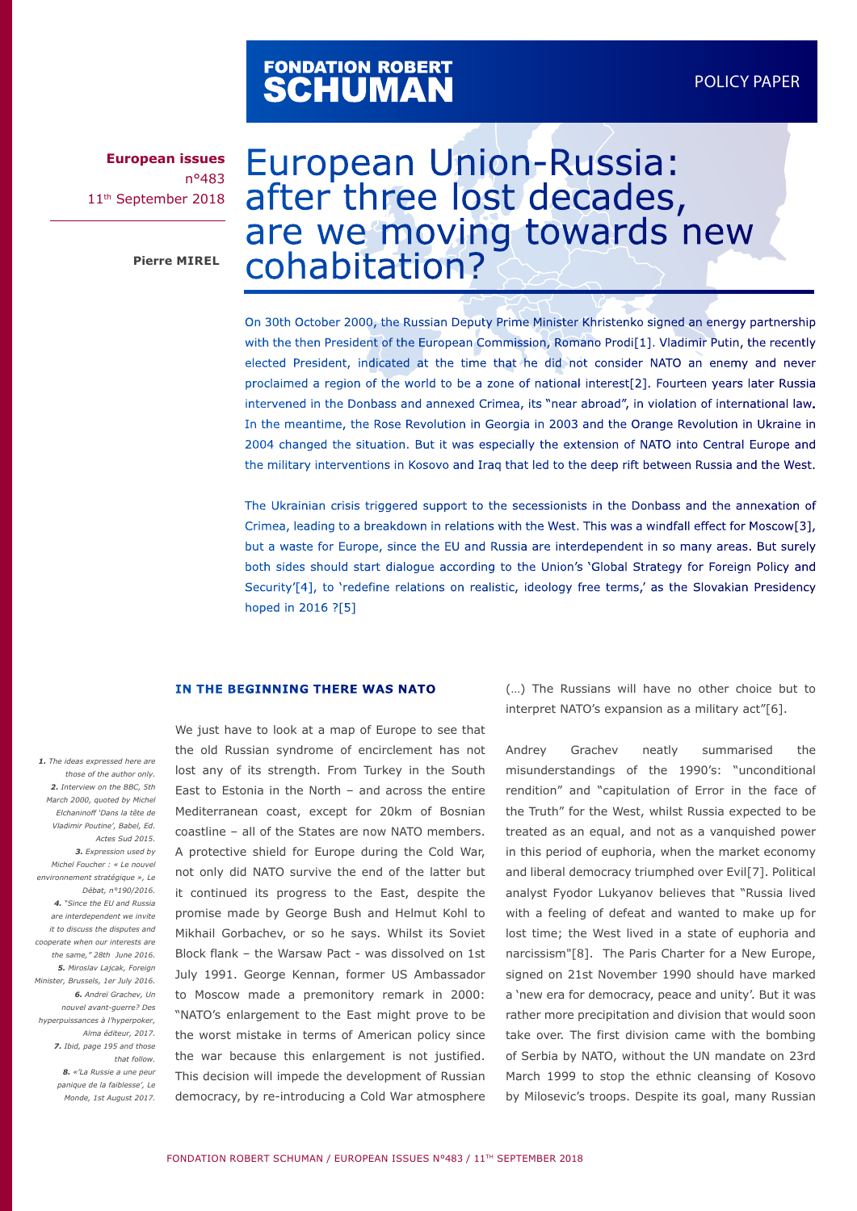# FONDATION ROBERT<br>**SCHUMAN**

**European issues** n°483 11th September 2018

# European Union-Russia: after three lost decades, are we moving towards new Pierre MIREL **COhabitation?**

On 30th October 2000, the Russian Deputy Prime Minister Khristenko signed an energy partnership with the then President of the European Commission, Romano Prodi[1]. Vladimir Putin, the recently elected President, indicated at the time that he did not consider NATO an enemy and never proclaimed a region of the world to be a zone of national interest[2]. Fourteen years later Russia intervened in the Donbass and annexed Crimea, its "near abroad", in violation of international law. In the meantime, the Rose Revolution in Georgia in 2003 and the Orange Revolution in Ukraine in 2004 changed the situation. But it was especially the extension of NATO into Central Europe and the military interventions in Kosovo and Iraq that led to the deep rift between Russia and the West.

The Ukrainian crisis triggered support to the secessionists in the Donbass and the annexation of Crimea, leading to a breakdown in relations with the West. This was a windfall effect for Moscow[3], but a waste for Europe, since the EU and Russia are interdependent in so many areas. But surely both sides should start dialogue according to the Union's 'Global Strategy for Foreign Policy and Security'[4], to 'redefine relations on realistic, ideology free terms,' as the Slovakian Presidency hoped in 2016 ?[5]

#### **IN THE BEGINNING THERE WAS NATO**

We just have to look at a map of Europe to see that the old Russian syndrome of encirclement has not lost any of its strength. From Turkey in the South East to Estonia in the North – and across the entire Mediterranean coast, except for 20km of Bosnian coastline – all of the States are now NATO members. A protective shield for Europe during the Cold War, not only did NATO survive the end of the latter but it continued its progress to the East, despite the promise made by George Bush and Helmut Kohl to Mikhail Gorbachev, or so he says. Whilst its Soviet Block flank – the Warsaw Pact - was dissolved on 1st July 1991. George Kennan, former US Ambassador to Moscow made a premonitory remark in 2000: "NATO's enlargement to the East might prove to be the worst mistake in terms of American policy since the war because this enlargement is not justified. This decision will impede the development of Russian democracy, by re-introducing a Cold War atmosphere

(…) The Russians will have no other choice but to interpret NATO's expansion as a military act"[6].

Andrey Grachev neatly summarised the misunderstandings of the 1990's: "unconditional rendition" and "capitulation of Error in the face of the Truth" for the West, whilst Russia expected to be treated as an equal, and not as a vanquished power in this period of euphoria, when the market economy and liberal democracy triumphed over Evil[7]. Political analyst Fyodor Lukyanov believes that "Russia lived with a feeling of defeat and wanted to make up for lost time; the West lived in a state of euphoria and narcissism"[8]. The Paris Charter for a New Europe, signed on 21st November 1990 should have marked a 'new era for democracy, peace and unity'. But it was rather more precipitation and division that would soon take over. The first division came with the bombing of Serbia by NATO, without the UN mandate on 23rd March 1999 to stop the ethnic cleansing of Kosovo by Milosevic's troops. Despite its goal, many Russian

*those of the author only. 2. Interview on the BBC, 5th March 2000, quoted by Michel Elchaninoff 'Dans la tête de Vladimir Poutine', Babel, Ed. Actes Sud 2015. 3. Expression used by Michel Foucher : « Le nouvel environnement stratégique », Le Débat, n°190/2016. 4. "Since the EU and Russia are interdependent we invite it to discuss the disputes and cooperate when our interests are the same," 28th June 2016. 5. Miroslav Lajcak, Foreign Minister, Brussels, 1er July 2016. 6. Andreï Grachev, Un nouvel avant-guerre? Des hyperpuissances à l'hyperpoker, Alma éditeur, 2017. 7. Ibid, page 195 and those that follow. 8. «'La Russie a une peur panique de la faiblesse', Le Monde, 1st August 2017.*

 *1. The ideas expressed here are*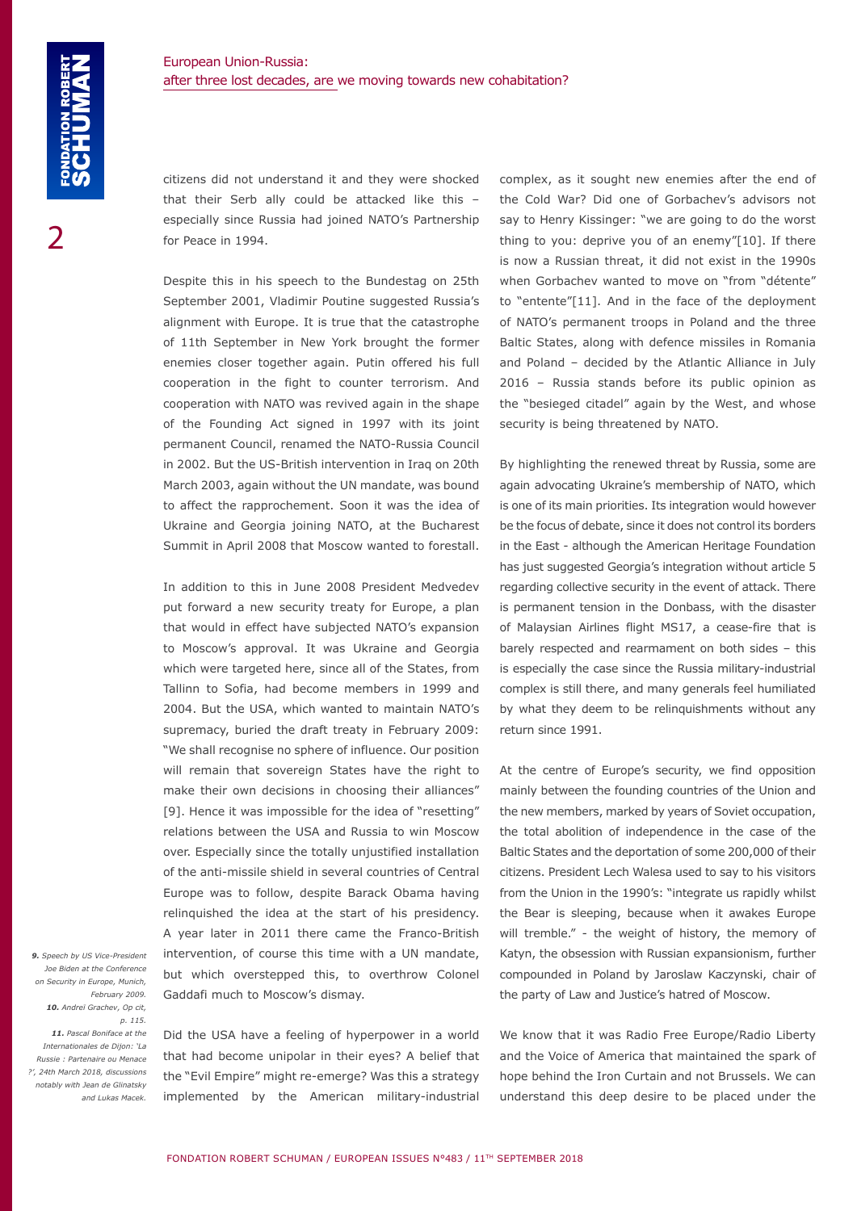citizens did not understand it and they were shocked that their Serb ally could be attacked like this – especially since Russia had joined NATO's Partnership for Peace in 1994.

Despite this in his speech to the Bundestag on 25th September 2001, Vladimir Poutine suggested Russia's alignment with Europe. It is true that the catastrophe of 11th September in New York brought the former enemies closer together again. Putin offered his full cooperation in the fight to counter terrorism. And cooperation with NATO was revived again in the shape of the Founding Act signed in 1997 with its joint permanent Council, renamed the NATO-Russia Council in 2002. But the US-British intervention in Iraq on 20th March 2003, again without the UN mandate, was bound to affect the rapprochement. Soon it was the idea of Ukraine and Georgia joining NATO, at the Bucharest Summit in April 2008 that Moscow wanted to forestall.

In addition to this in June 2008 President Medvedev put forward a new security treaty for Europe, a plan that would in effect have subjected NATO's expansion to Moscow's approval. It was Ukraine and Georgia which were targeted here, since all of the States, from Tallinn to Sofia, had become members in 1999 and 2004. But the USA, which wanted to maintain NATO's supremacy, buried the draft treaty in February 2009: "We shall recognise no sphere of influence. Our position will remain that sovereign States have the right to make their own decisions in choosing their alliances" [9]. Hence it was impossible for the idea of "resetting" relations between the USA and Russia to win Moscow over. Especially since the totally unjustified installation of the anti-missile shield in several countries of Central Europe was to follow, despite Barack Obama having relinquished the idea at the start of his presidency. A year later in 2011 there came the Franco-British intervention, of course this time with a UN mandate, but which overstepped this, to overthrow Colonel Gaddafi much to Moscow's dismay.

 *9. Speech by US Vice-President Joe Biden at the Conference on Security in Europe, Munich, February 2009. 10. Andreï Grachev, Op cit, p. 115. 11. Pascal Boniface at the Internationales de Dijon: 'La Russie : Partenaire ou Menace ?', 24th March 2018, discussions notably with Jean de Glinatsky and Lukas Macek.*

Did the USA have a feeling of hyperpower in a world that had become unipolar in their eyes? A belief that the "Evil Empire" might re-emerge? Was this a strategy implemented by the American military-industrial

complex, as it sought new enemies after the end of the Cold War? Did one of Gorbachev's advisors not say to Henry Kissinger: "we are going to do the worst thing to you: deprive you of an enemy"[10]. If there is now a Russian threat, it did not exist in the 1990s when Gorbachev wanted to move on "from "détente" to "entente"[11]. And in the face of the deployment of NATO's permanent troops in Poland and the three Baltic States, along with defence missiles in Romania and Poland – decided by the Atlantic Alliance in July 2016 – Russia stands before its public opinion as the "besieged citadel" again by the West, and whose security is being threatened by NATO.

By highlighting the renewed threat by Russia, some are again advocating Ukraine's membership of NATO, which is one of its main priorities. Its integration would however be the focus of debate, since it does not control its borders in the East - although the American Heritage Foundation has just suggested Georgia's integration without article 5 regarding collective security in the event of attack. There is permanent tension in the Donbass, with the disaster of Malaysian Airlines flight MS17, a cease-fire that is barely respected and rearmament on both sides – this is especially the case since the Russia military-industrial complex is still there, and many generals feel humiliated by what they deem to be relinquishments without any return since 1991.

At the centre of Europe's security, we find opposition mainly between the founding countries of the Union and the new members, marked by years of Soviet occupation, the total abolition of independence in the case of the Baltic States and the deportation of some 200,000 of their citizens. President Lech Walesa used to say to his visitors from the Union in the 1990's: "integrate us rapidly whilst the Bear is sleeping, because when it awakes Europe will tremble." - the weight of history, the memory of Katyn, the obsession with Russian expansionism, further compounded in Poland by Jaroslaw Kaczynski, chair of the party of Law and Justice's hatred of Moscow.

We know that it was Radio Free Europe/Radio Liberty and the Voice of America that maintained the spark of hope behind the Iron Curtain and not Brussels. We can understand this deep desire to be placed under the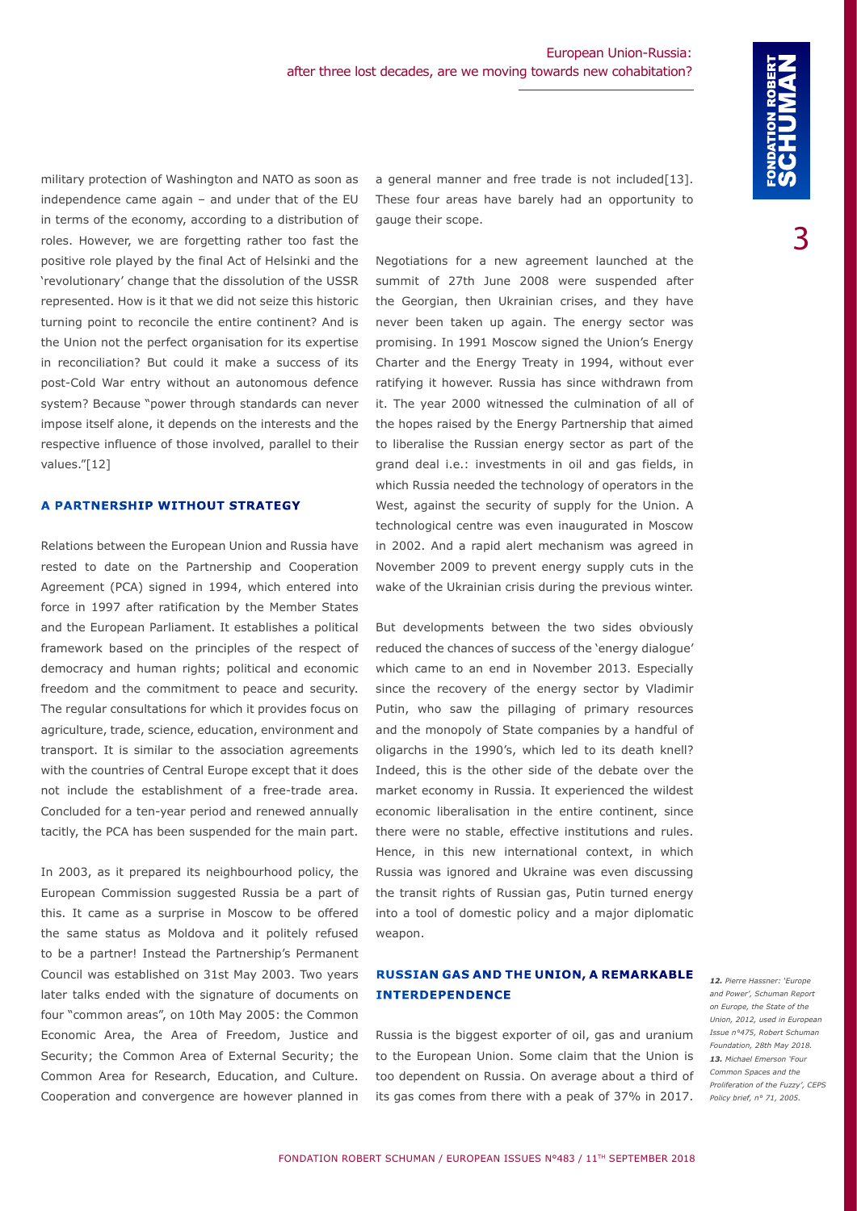military protection of Washington and NATO as soon as independence came again – and under that of the EU in terms of the economy, according to a distribution of roles. However, we are forgetting rather too fast the positive role played by the final Act of Helsinki and the 'revolutionary' change that the dissolution of the USSR represented. How is it that we did not seize this historic turning point to reconcile the entire continent? And is the Union not the perfect organisation for its expertise in reconciliation? But could it make a success of its post-Cold War entry without an autonomous defence system? Because "power through standards can never impose itself alone, it depends on the interests and the respective influence of those involved, parallel to their values."[12]

#### **A PARTNERSHIP WITHOUT STRATEGY**

Relations between the European Union and Russia have rested to date on the Partnership and Cooperation Agreement (PCA) signed in 1994, which entered into force in 1997 after ratification by the Member States and the European Parliament. It establishes a political framework based on the principles of the respect of democracy and human rights; political and economic freedom and the commitment to peace and security. The regular consultations for which it provides focus on agriculture, trade, science, education, environment and transport. It is similar to the association agreements with the countries of Central Europe except that it does not include the establishment of a free-trade area. Concluded for a ten-year period and renewed annually tacitly, the PCA has been suspended for the main part.

In 2003, as it prepared its neighbourhood policy, the European Commission suggested Russia be a part of this. It came as a surprise in Moscow to be offered the same status as Moldova and it politely refused to be a partner! Instead the Partnership's Permanent Council was established on 31st May 2003. Two years later talks ended with the signature of documents on four "common areas", on 10th May 2005: the Common Economic Area, the Area of Freedom, Justice and Security; the Common Area of External Security; the Common Area for Research, Education, and Culture. Cooperation and convergence are however planned in

a general manner and free trade is not included[13]. These four areas have barely had an opportunity to gauge their scope.

Negotiations for a new agreement launched at the summit of 27th June 2008 were suspended after the Georgian, then Ukrainian crises, and they have never been taken up again. The energy sector was promising. In 1991 Moscow signed the Union's Energy Charter and the Energy Treaty in 1994, without ever ratifying it however. Russia has since withdrawn from it. The year 2000 witnessed the culmination of all of the hopes raised by the Energy Partnership that aimed to liberalise the Russian energy sector as part of the grand deal i.e.: investments in oil and gas fields, in which Russia needed the technology of operators in the West, against the security of supply for the Union. A technological centre was even inaugurated in Moscow in 2002. And a rapid alert mechanism was agreed in November 2009 to prevent energy supply cuts in the wake of the Ukrainian crisis during the previous winter.

But developments between the two sides obviously reduced the chances of success of the 'energy dialogue' which came to an end in November 2013. Especially since the recovery of the energy sector by Vladimir Putin, who saw the pillaging of primary resources and the monopoly of State companies by a handful of oligarchs in the 1990's, which led to its death knell? Indeed, this is the other side of the debate over the market economy in Russia. It experienced the wildest economic liberalisation in the entire continent, since there were no stable, effective institutions and rules. Hence, in this new international context, in which Russia was ignored and Ukraine was even discussing the transit rights of Russian gas, Putin turned energy into a tool of domestic policy and a major diplomatic weapon.

### **RUSSIAN GAS AND THE UNION, A REMARKABLE INTERDEPENDENCE**

Russia is the biggest exporter of oil, gas and uranium to the European Union. Some claim that the Union is too dependent on Russia. On average about a third of its gas comes from there with a peak of 37% in 2017.

*12. Pierre Hassner: 'Europe and Power', Schuman Report on Europe, the State of the Union, 2012, used in European Issue n°475, Robert Schuman Foundation, 28th May 2018. 13. Michael Emerson 'Four Common Spaces and the Proliferation of the Fuzzy', CEPS Policy brief, n° 71, 2005.*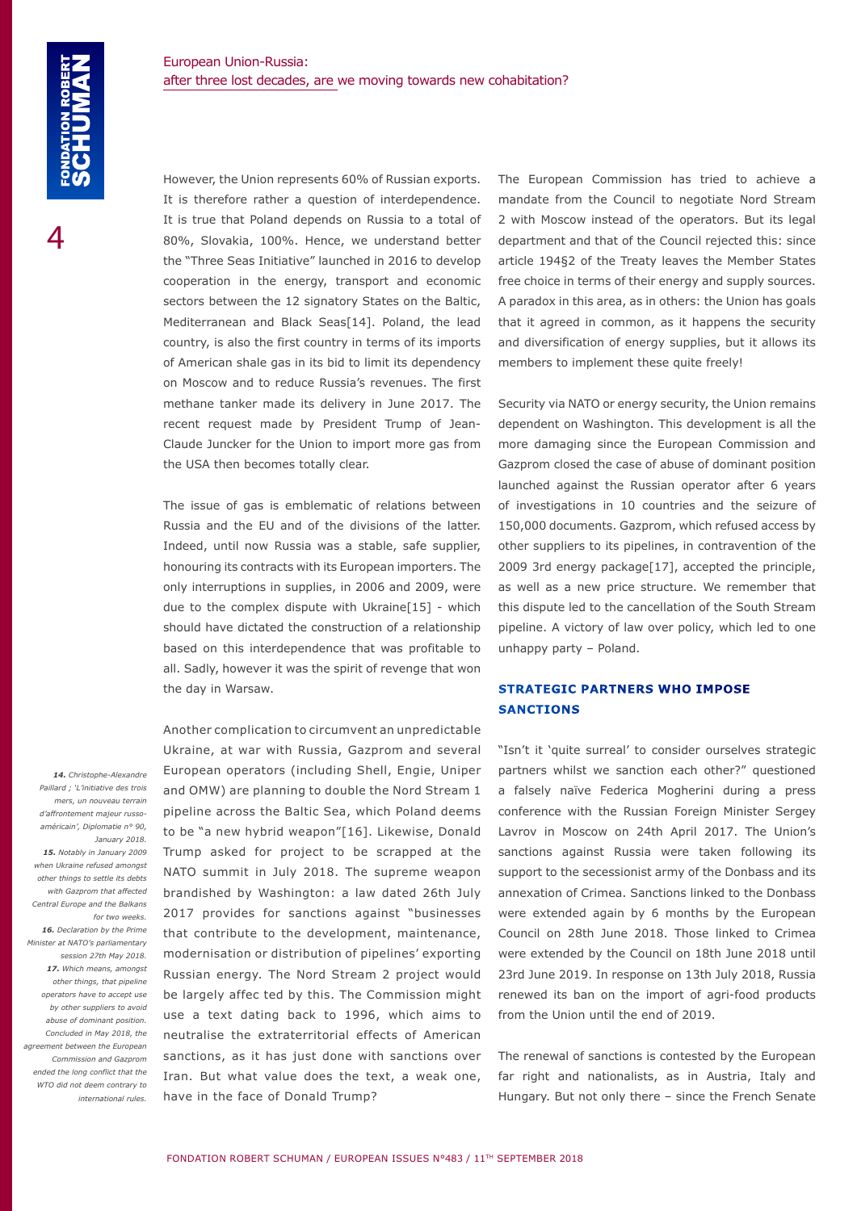However, the Union represents 60% of Russian exports. It is therefore rather a question of interdependence. It is true that Poland depends on Russia to a total of 80%, Slovakia, 100%. Hence, we understand better the "Three Seas Initiative" launched in 2016 to develop cooperation in the energy, transport and economic sectors between the 12 signatory States on the Baltic, Mediterranean and Black Seas[14]. Poland, the lead country, is also the first country in terms of its imports of American shale gas in its bid to limit its dependency on Moscow and to reduce Russia's revenues. The first methane tanker made its delivery in June 2017. The recent request made by President Trump of Jean-Claude Juncker for the Union to import more gas from the USA then becomes totally clear.

The issue of gas is emblematic of relations between Russia and the EU and of the divisions of the latter. Indeed, until now Russia was a stable, safe supplier, honouring its contracts with its European importers. The only interruptions in supplies, in 2006 and 2009, were due to the complex dispute with Ukraine[15] - which should have dictated the construction of a relationship based on this interdependence that was profitable to all. Sadly, however it was the spirit of revenge that won the day in Warsaw.

Another complication to circumvent an unpredictable Ukraine, at war with Russia, Gazprom and several European operators (including Shell, Engie, Uniper and OMW) are planning to double the Nord Stream 1 pipeline across the Baltic Sea, which Poland deems to be "a new hybrid weapon"[16]. Likewise, Donald Trump asked for project to be scrapped at the NATO summit in July 2018. The supreme weapon brandished by Washington: a law dated 26th July 2017 provides for sanctions against "businesses that contribute to the development, maintenance, modernisation or distribution of pipelines' exporting Russian energy. The Nord Stream 2 project would be largely affec ted by this. The Commission might use a text dating back to 1996, which aims to neutralise the extraterritorial effects of American sanctions, as it has just done with sanctions over Iran. But what value does the text, a weak one, have in the face of Donald Trump?

The European Commission has tried to achieve a mandate from the Council to negotiate Nord Stream 2 with Moscow instead of the operators. But its legal department and that of the Council rejected this: since article 194§2 of the Treaty leaves the Member States free choice in terms of their energy and supply sources. A paradox in this area, as in others: the Union has goals that it agreed in common, as it happens the security and diversification of energy supplies, but it allows its members to implement these quite freely!

Security via NATO or energy security, the Union remains dependent on Washington. This development is all the more damaging since the European Commission and Gazprom closed the case of abuse of dominant position launched against the Russian operator after 6 years of investigations in 10 countries and the seizure of 150,000 documents. Gazprom, which refused access by other suppliers to its pipelines, in contravention of the 2009 3rd energy package[17], accepted the principle, as well as a new price structure. We remember that this dispute led to the cancellation of the South Stream pipeline. A victory of law over policy, which led to one unhappy party – Poland.

# **STRATEGIC PARTNERS WHO IMPOSE SANCTIONS**

"Isn't it 'quite surreal' to consider ourselves strategic partners whilst we sanction each other?" questioned a falsely naïve Federica Mogherini during a press conference with the Russian Foreign Minister Sergey Lavrov in Moscow on 24th April 2017. The Union's sanctions against Russia were taken following its support to the secessionist army of the Donbass and its annexation of Crimea. Sanctions linked to the Donbass were extended again by 6 months by the European Council on 28th June 2018. Those linked to Crimea were extended by the Council on 18th June 2018 until 23rd June 2019. In response on 13th July 2018, Russia renewed its ban on the import of agri-food products from the Union until the end of 2019.

The renewal of sanctions is contested by the European far right and nationalists, as in Austria, Italy and Hungary. But not only there – since the French Senate

 *14. Christophe-Alexandre Paillard ; 'L'initiative des trois mers, un nouveau terrain d'affrontement majeur russoaméricain', Diplomatie n° 90, January 2018. 15. Notably in January 2009 when Ukraine refused amongst other things to settle its debts with Gazprom that affected Central Europe and the Balkans for two weeks. 16. Declaration by the Prime Minister at NATO's parliamentary session 27th May 2018. 17. Which means, amongst other things, that pipeline operators have to accept use by other suppliers to avoid abuse of dominant position. Concluded in May 2018, the agreement between the European Commission and Gazprom ended the long conflict that the WTO did not deem contrary to international rules.*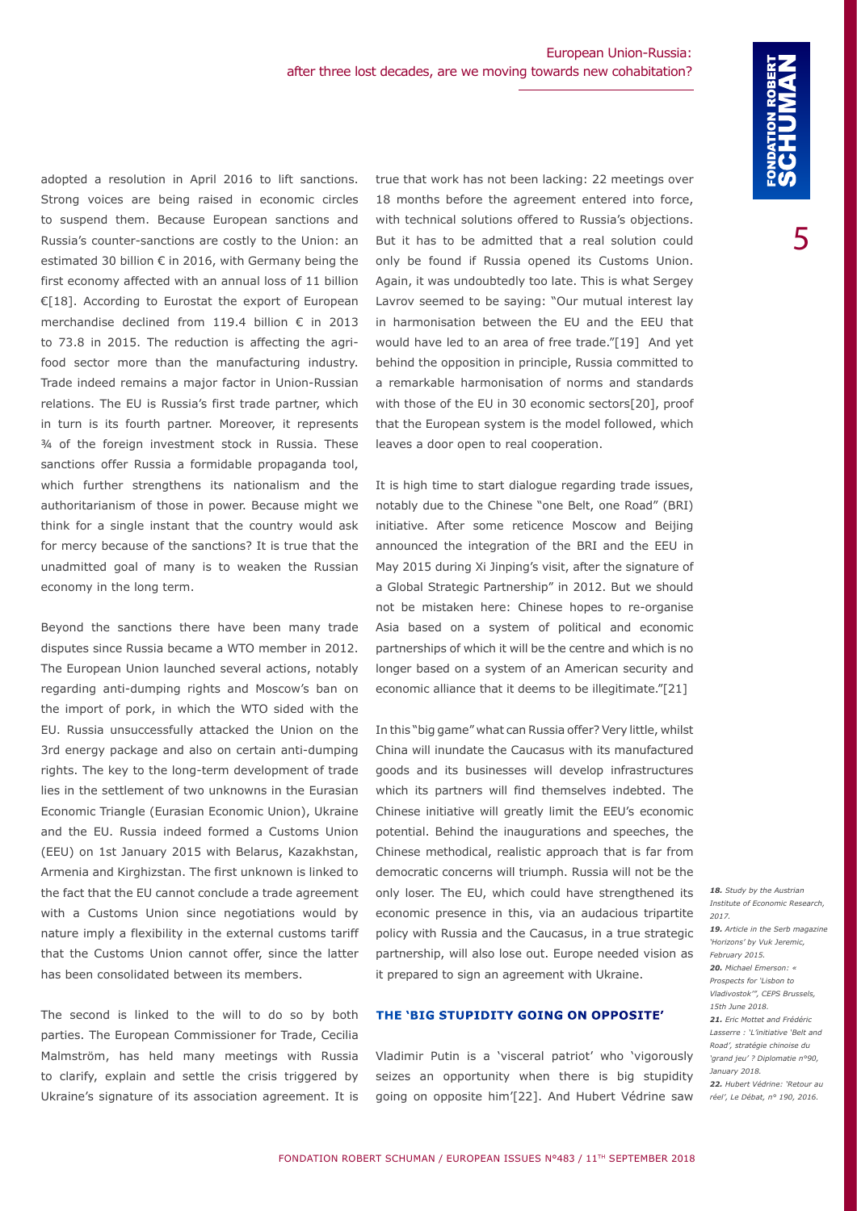adopted a resolution in April 2016 to lift sanctions. Strong voices are being raised in economic circles to suspend them. Because European sanctions and Russia's counter-sanctions are costly to the Union: an estimated 30 billion € in 2016, with Germany being the first economy affected with an annual loss of 11 billion €[18]. According to Eurostat the export of European merchandise declined from 119.4 billion € in 2013 to 73.8 in 2015. The reduction is affecting the agrifood sector more than the manufacturing industry. Trade indeed remains a major factor in Union-Russian relations. The EU is Russia's first trade partner, which in turn is its fourth partner. Moreover, it represents ¾ of the foreign investment stock in Russia. These sanctions offer Russia a formidable propaganda tool, which further strengthens its nationalism and the authoritarianism of those in power. Because might we think for a single instant that the country would ask for mercy because of the sanctions? It is true that the unadmitted goal of many is to weaken the Russian economy in the long term.

Beyond the sanctions there have been many trade disputes since Russia became a WTO member in 2012. The European Union launched several actions, notably regarding anti-dumping rights and Moscow's ban on the import of pork, in which the WTO sided with the EU. Russia unsuccessfully attacked the Union on the 3rd energy package and also on certain anti-dumping rights. The key to the long-term development of trade lies in the settlement of two unknowns in the Eurasian Economic Triangle (Eurasian Economic Union), Ukraine and the EU. Russia indeed formed a Customs Union (EEU) on 1st January 2015 with Belarus, Kazakhstan, Armenia and Kirghizstan. The first unknown is linked to the fact that the EU cannot conclude a trade agreement with a Customs Union since negotiations would by nature imply a flexibility in the external customs tariff that the Customs Union cannot offer, since the latter has been consolidated between its members.

The second is linked to the will to do so by both parties. The European Commissioner for Trade, Cecilia Malmström, has held many meetings with Russia to clarify, explain and settle the crisis triggered by Ukraine's signature of its association agreement. It is true that work has not been lacking: 22 meetings over 18 months before the agreement entered into force, with technical solutions offered to Russia's objections. But it has to be admitted that a real solution could only be found if Russia opened its Customs Union. Again, it was undoubtedly too late. This is what Sergey Lavrov seemed to be saying: "Our mutual interest lay in harmonisation between the EU and the EEU that would have led to an area of free trade."[19] And yet behind the opposition in principle, Russia committed to a remarkable harmonisation of norms and standards with those of the EU in 30 economic sectors[20], proof that the European system is the model followed, which leaves a door open to real cooperation.

It is high time to start dialogue regarding trade issues, notably due to the Chinese "one Belt, one Road" (BRI) initiative. After some reticence Moscow and Beijing announced the integration of the BRI and the EEU in May 2015 during Xi Jinping's visit, after the signature of a Global Strategic Partnership" in 2012. But we should not be mistaken here: Chinese hopes to re-organise Asia based on a system of political and economic partnerships of which it will be the centre and which is no longer based on a system of an American security and economic alliance that it deems to be illegitimate."[21]

In this "big game" what can Russia offer? Very little, whilst China will inundate the Caucasus with its manufactured goods and its businesses will develop infrastructures which its partners will find themselves indebted. The Chinese initiative will greatly limit the EEU's economic potential. Behind the inaugurations and speeches, the Chinese methodical, realistic approach that is far from democratic concerns will triumph. Russia will not be the only loser. The EU, which could have strengthened its economic presence in this, via an audacious tripartite policy with Russia and the Caucasus, in a true strategic partnership, will also lose out. Europe needed vision as it prepared to sign an agreement with Ukraine.

#### **THE 'BIG STUPIDITY GOING ON OPPOSITE'**

Vladimir Putin is a 'visceral patriot' who 'vigorously seizes an opportunity when there is big stupidity going on opposite him'[22]. And Hubert Védrine saw

*Institute of Economic Research, 2017. 19. Article in the Serb magazine 'Horizons' by Vuk Jeremic, February 2015. 20. Michael Emerson: « Prospects for 'Lisbon to Vladivostok'", CEPS Brussels, 15th June 2018. 21. Eric Mottet and Frédéric Lasserre : 'L'initiative 'Belt and* 

*18. Study by the Austrian* 

*Road', stratégie chinoise du 'grand jeu' ? Diplomatie n°90, January 2018. 22. Hubert Védrine: 'Retour au* 

*réel', Le Débat, n° 190, 2016.*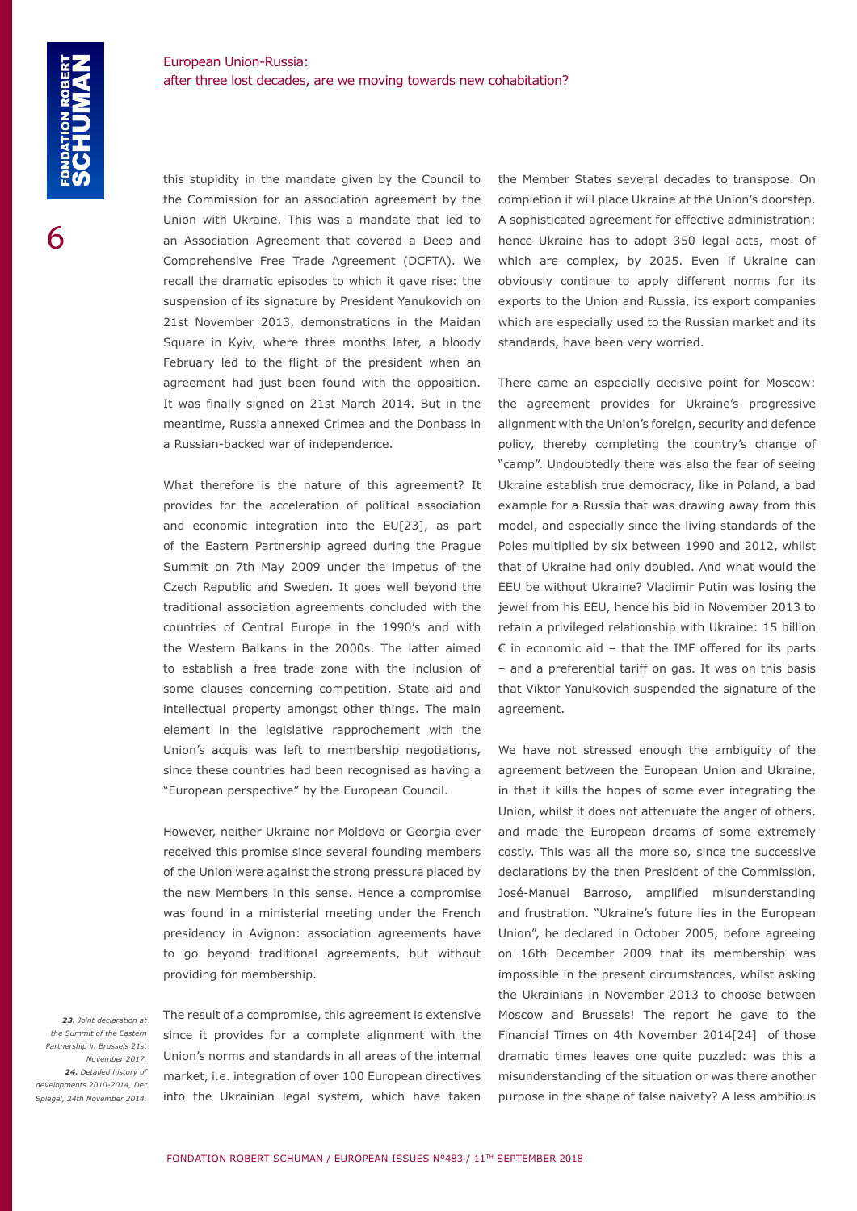this stupidity in the mandate given by the Council to the Commission for an association agreement by the Union with Ukraine. This was a mandate that led to an Association Agreement that covered a Deep and Comprehensive Free Trade Agreement (DCFTA). We recall the dramatic episodes to which it gave rise: the suspension of its signature by President Yanukovich on 21st November 2013, demonstrations in the Maidan Square in Kyiv, where three months later, a bloody February led to the flight of the president when an agreement had just been found with the opposition. It was finally signed on 21st March 2014. But in the meantime, Russia annexed Crimea and the Donbass in a Russian-backed war of independence.

What therefore is the nature of this agreement? It provides for the acceleration of political association and economic integration into the EU[23], as part of the Eastern Partnership agreed during the Prague Summit on 7th May 2009 under the impetus of the Czech Republic and Sweden. It goes well beyond the traditional association agreements concluded with the countries of Central Europe in the 1990's and with the Western Balkans in the 2000s. The latter aimed to establish a free trade zone with the inclusion of some clauses concerning competition, State aid and intellectual property amongst other things. The main element in the legislative rapprochement with the Union's acquis was left to membership negotiations, since these countries had been recognised as having a "European perspective" by the European Council.

However, neither Ukraine nor Moldova or Georgia ever received this promise since several founding members of the Union were against the strong pressure placed by the new Members in this sense. Hence a compromise was found in a ministerial meeting under the French presidency in Avignon: association agreements have to go beyond traditional agreements, but without providing for membership.

 *23. Joint declaration at the Summit of the Eastern Partnership in Brussels 21st November 2017. 24. Detailed history of developments 2010-2014, Der Spiegel, 24th November 2014.* The result of a compromise, this agreement is extensive since it provides for a complete alignment with the Union's norms and standards in all areas of the internal market, i.e. integration of over 100 European directives into the Ukrainian legal system, which have taken the Member States several decades to transpose. On completion it will place Ukraine at the Union's doorstep. A sophisticated agreement for effective administration: hence Ukraine has to adopt 350 legal acts, most of which are complex, by 2025. Even if Ukraine can obviously continue to apply different norms for its exports to the Union and Russia, its export companies which are especially used to the Russian market and its standards, have been very worried.

There came an especially decisive point for Moscow: the agreement provides for Ukraine's progressive alignment with the Union's foreign, security and defence policy, thereby completing the country's change of "camp". Undoubtedly there was also the fear of seeing Ukraine establish true democracy, like in Poland, a bad example for a Russia that was drawing away from this model, and especially since the living standards of the Poles multiplied by six between 1990 and 2012, whilst that of Ukraine had only doubled. And what would the EEU be without Ukraine? Vladimir Putin was losing the jewel from his EEU, hence his bid in November 2013 to retain a privileged relationship with Ukraine: 15 billion  $\epsilon$  in economic aid – that the IMF offered for its parts – and a preferential tariff on gas. It was on this basis that Viktor Yanukovich suspended the signature of the agreement.

We have not stressed enough the ambiguity of the agreement between the European Union and Ukraine, in that it kills the hopes of some ever integrating the Union, whilst it does not attenuate the anger of others, and made the European dreams of some extremely costly. This was all the more so, since the successive declarations by the then President of the Commission, José-Manuel Barroso, amplified misunderstanding and frustration. "Ukraine's future lies in the European Union", he declared in October 2005, before agreeing on 16th December 2009 that its membership was impossible in the present circumstances, whilst asking the Ukrainians in November 2013 to choose between Moscow and Brussels! The report he gave to the Financial Times on 4th November 2014[24] of those dramatic times leaves one quite puzzled: was this a misunderstanding of the situation or was there another purpose in the shape of false naivety? A less ambitious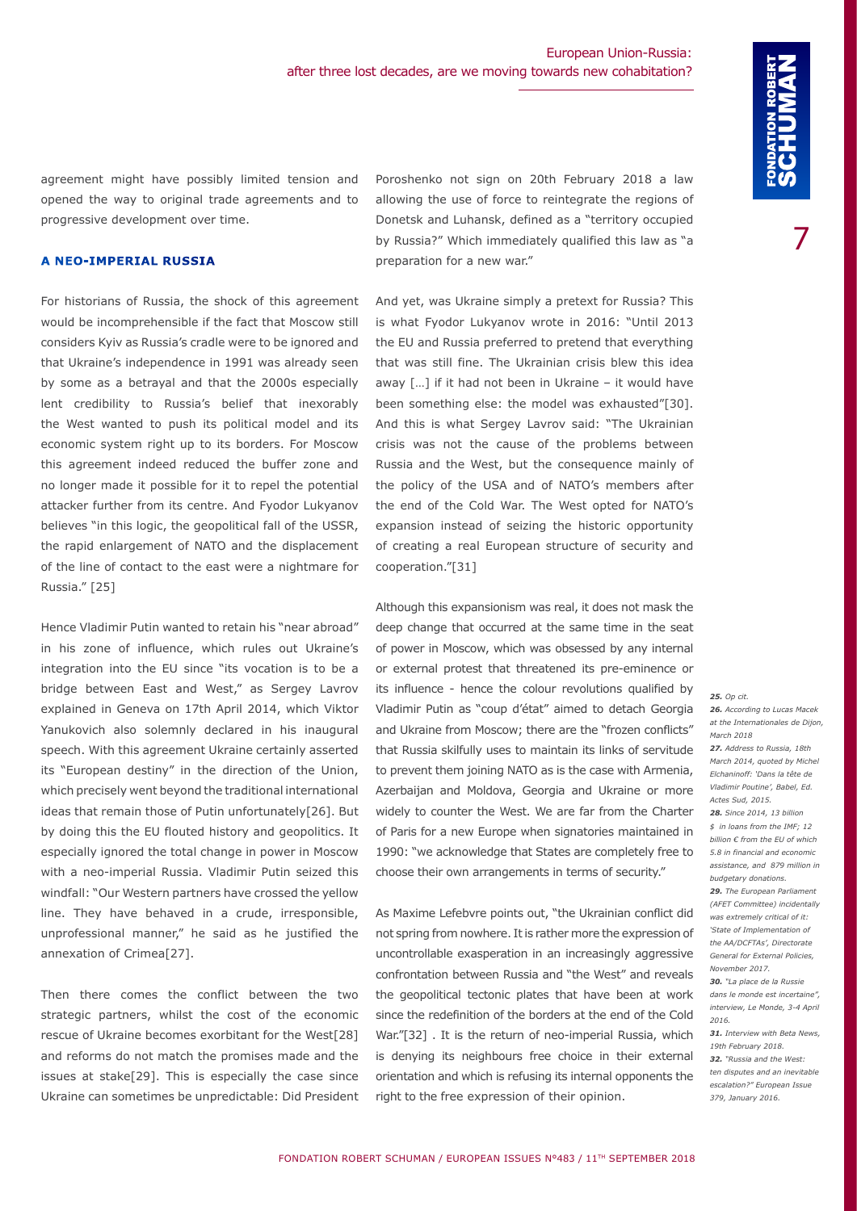agreement might have possibly limited tension and opened the way to original trade agreements and to progressive development over time.

#### **A NEO-IMPERIAL RUSSIA**

For historians of Russia, the shock of this agreement would be incomprehensible if the fact that Moscow still considers Kyiv as Russia's cradle were to be ignored and that Ukraine's independence in 1991 was already seen by some as a betrayal and that the 2000s especially lent credibility to Russia's belief that inexorably the West wanted to push its political model and its economic system right up to its borders. For Moscow this agreement indeed reduced the buffer zone and no longer made it possible for it to repel the potential attacker further from its centre. And Fyodor Lukyanov believes "in this logic, the geopolitical fall of the USSR, the rapid enlargement of NATO and the displacement of the line of contact to the east were a nightmare for Russia." [25]

Hence Vladimir Putin wanted to retain his "near abroad" in his zone of influence, which rules out Ukraine's integration into the EU since "its vocation is to be a bridge between East and West," as Sergey Lavrov explained in Geneva on 17th April 2014, which Viktor Yanukovich also solemnly declared in his inaugural speech. With this agreement Ukraine certainly asserted its "European destiny" in the direction of the Union, which precisely went beyond the traditional international ideas that remain those of Putin unfortunately[26]. But by doing this the EU flouted history and geopolitics. It especially ignored the total change in power in Moscow with a neo-imperial Russia. Vladimir Putin seized this windfall: "Our Western partners have crossed the yellow line. They have behaved in a crude, irresponsible, unprofessional manner," he said as he justified the annexation of Crimea[27].

Then there comes the conflict between the two strategic partners, whilst the cost of the economic rescue of Ukraine becomes exorbitant for the West[28] and reforms do not match the promises made and the issues at stake[29]. This is especially the case since Ukraine can sometimes be unpredictable: Did President

Poroshenko not sign on 20th February 2018 a law allowing the use of force to reintegrate the regions of Donetsk and Luhansk, defined as a "territory occupied by Russia?" Which immediately qualified this law as "a preparation for a new war."

And yet, was Ukraine simply a pretext for Russia? This is what Fyodor Lukyanov wrote in 2016: "Until 2013 the EU and Russia preferred to pretend that everything that was still fine. The Ukrainian crisis blew this idea away […] if it had not been in Ukraine – it would have been something else: the model was exhausted"[30]. And this is what Sergey Lavrov said: "The Ukrainian crisis was not the cause of the problems between Russia and the West, but the consequence mainly of the policy of the USA and of NATO's members after the end of the Cold War. The West opted for NATO's expansion instead of seizing the historic opportunity of creating a real European structure of security and cooperation."[31]

Although this expansionism was real, it does not mask the deep change that occurred at the same time in the seat of power in Moscow, which was obsessed by any internal or external protest that threatened its pre-eminence or its influence - hence the colour revolutions qualified by Vladimir Putin as "coup d'état" aimed to detach Georgia and Ukraine from Moscow; there are the "frozen conflicts" that Russia skilfully uses to maintain its links of servitude to prevent them joining NATO as is the case with Armenia, Azerbaijan and Moldova, Georgia and Ukraine or more widely to counter the West. We are far from the Charter of Paris for a new Europe when signatories maintained in 1990: "we acknowledge that States are completely free to choose their own arrangements in terms of security."

As Maxime Lefebvre points out, "the Ukrainian conflict did not spring from nowhere. It is rather more the expression of uncontrollable exasperation in an increasingly aggressive confrontation between Russia and "the West" and reveals the geopolitical tectonic plates that have been at work since the redefinition of the borders at the end of the Cold War."[32] . It is the return of neo-imperial Russia, which is denying its neighbours free choice in their external orientation and which is refusing its internal opponents the right to the free expression of their opinion.

#### *25. Op cit.*

*26. According to Lucas Macek at the Internationales de Dijon, March 2018 27. Address to Russia, 18th March 2014, quoted by Michel Elchaninoff: 'Dans la tête de Vladimir Poutine', Babel, Ed. Actes Sud, 2015. 28. Since 2014, 13 billion \$ in loans from the IMF; 12 billion € from the EU of which 5.8 in financial and economic assistance, and 879 million in budgetary donations. 29. The European Parliament (AFET Committee) incidentally was extremely critical of it: 'State of Implementation of the AA/DCFTAs', Directorate General for External Policies, November 2017. 30. "La place de la Russie dans le monde est incertaine", interview, Le Monde, 3-4 April 2016. 31. Interview with Beta News, 19th February 2018. 32. "Russia and the West: ten disputes and an inevitable escalation?" European Issue 379, January 2016.*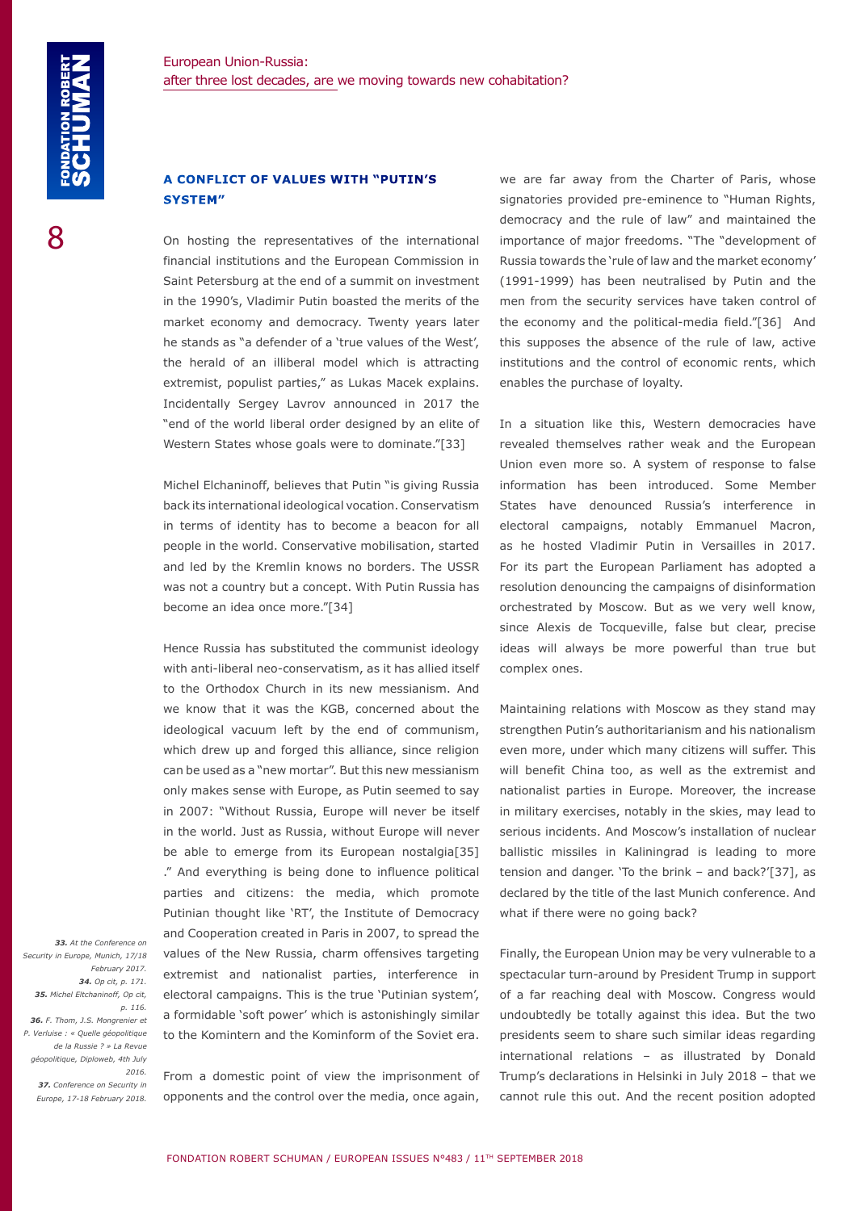#### **A CONFLICT OF VALUES WITH "PUTIN'S SYSTEM"**

On hosting the representatives of the international financial institutions and the European Commission in Saint Petersburg at the end of a summit on investment in the 1990's, Vladimir Putin boasted the merits of the market economy and democracy. Twenty years later he stands as "a defender of a 'true values of the West', the herald of an illiberal model which is attracting extremist, populist parties," as Lukas Macek explains. Incidentally Sergey Lavrov announced in 2017 the "end of the world liberal order designed by an elite of Western States whose goals were to dominate."[33]

Michel Elchaninoff, believes that Putin "is giving Russia back its international ideological vocation. Conservatism in terms of identity has to become a beacon for all people in the world. Conservative mobilisation, started and led by the Kremlin knows no borders. The USSR was not a country but a concept. With Putin Russia has become an idea once more."[34]

Hence Russia has substituted the communist ideology with anti-liberal neo-conservatism, as it has allied itself to the Orthodox Church in its new messianism. And we know that it was the KGB, concerned about the ideological vacuum left by the end of communism, which drew up and forged this alliance, since religion can be used as a "new mortar". But this new messianism only makes sense with Europe, as Putin seemed to say in 2007: "Without Russia, Europe will never be itself in the world. Just as Russia, without Europe will never be able to emerge from its European nostalgia[35] ." And everything is being done to influence political parties and citizens: the media, which promote Putinian thought like 'RT', the Institute of Democracy and Cooperation created in Paris in 2007, to spread the values of the New Russia, charm offensives targeting extremist and nationalist parties, interference in electoral campaigns. This is the true 'Putinian system', a formidable 'soft power' which is astonishingly similar to the Komintern and the Kominform of the Soviet era.

 *33. At the Conference on Security in Europe, Munich, 17/18 February 2017. 34. Op cit, p. 171. 35. Michel Eltchaninoff, Op cit, p. 116. 36. F. Thom, J.S. Mongrenier et P. Verluise : « Quelle géopolitique de la Russie ? » La Revue géopolitique, Diploweb, 4th July 2016. 37. Conference on Security in Europe, 17-18 February 2018.*

From a domestic point of view the imprisonment of opponents and the control over the media, once again,

we are far away from the Charter of Paris, whose signatories provided pre-eminence to "Human Rights, democracy and the rule of law" and maintained the importance of major freedoms. "The "development of Russia towards the 'rule of law and the market economy' (1991-1999) has been neutralised by Putin and the men from the security services have taken control of the economy and the political-media field."[36] And this supposes the absence of the rule of law, active institutions and the control of economic rents, which enables the purchase of loyalty.

In a situation like this, Western democracies have revealed themselves rather weak and the European Union even more so. A system of response to false information has been introduced. Some Member States have denounced Russia's interference in electoral campaigns, notably Emmanuel Macron, as he hosted Vladimir Putin in Versailles in 2017. For its part the European Parliament has adopted a resolution denouncing the campaigns of disinformation orchestrated by Moscow. But as we very well know, since Alexis de Tocqueville, false but clear, precise ideas will always be more powerful than true but complex ones.

Maintaining relations with Moscow as they stand may strengthen Putin's authoritarianism and his nationalism even more, under which many citizens will suffer. This will benefit China too, as well as the extremist and nationalist parties in Europe. Moreover, the increase in military exercises, notably in the skies, may lead to serious incidents. And Moscow's installation of nuclear ballistic missiles in Kaliningrad is leading to more tension and danger. 'To the brink – and back?'[37], as declared by the title of the last Munich conference. And what if there were no going back?

Finally, the European Union may be very vulnerable to a spectacular turn-around by President Trump in support of a far reaching deal with Moscow. Congress would undoubtedly be totally against this idea. But the two presidents seem to share such similar ideas regarding international relations – as illustrated by Donald Trump's declarations in Helsinki in July 2018 – that we cannot rule this out. And the recent position adopted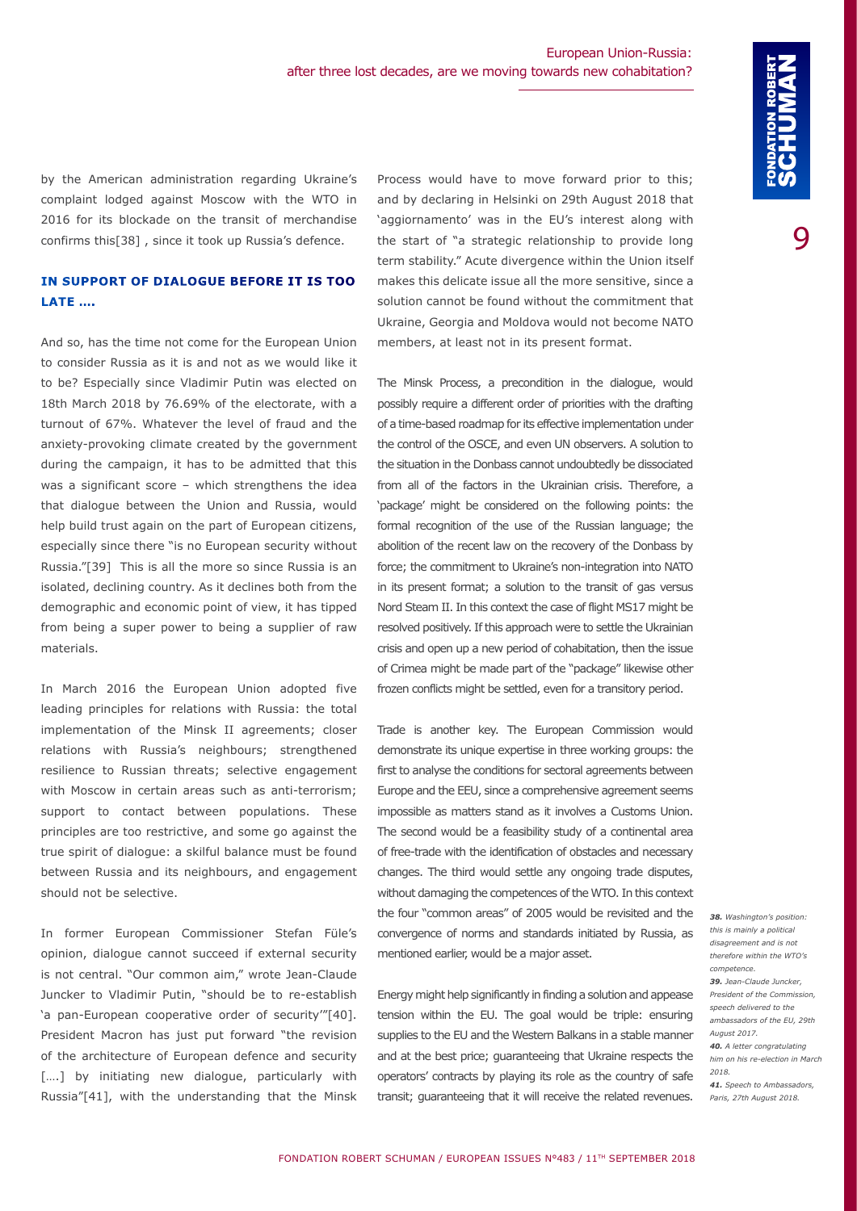by the American administration regarding Ukraine's complaint lodged against Moscow with the WTO in 2016 for its blockade on the transit of merchandise confirms this[38] , since it took up Russia's defence.

# **IN SUPPORT OF DIALOGUE BEFORE IT IS TOO LATE ….**

And so, has the time not come for the European Union to consider Russia as it is and not as we would like it to be? Especially since Vladimir Putin was elected on 18th March 2018 by 76.69% of the electorate, with a turnout of 67%. Whatever the level of fraud and the anxiety-provoking climate created by the government during the campaign, it has to be admitted that this was a significant score – which strengthens the idea that dialogue between the Union and Russia, would help build trust again on the part of European citizens, especially since there "is no European security without Russia."[39] This is all the more so since Russia is an isolated, declining country. As it declines both from the demographic and economic point of view, it has tipped from being a super power to being a supplier of raw materials.

In March 2016 the European Union adopted five leading principles for relations with Russia: the total implementation of the Minsk II agreements; closer relations with Russia's neighbours; strengthened resilience to Russian threats; selective engagement with Moscow in certain areas such as anti-terrorism; support to contact between populations. These principles are too restrictive, and some go against the true spirit of dialogue: a skilful balance must be found between Russia and its neighbours, and engagement should not be selective.

In former European Commissioner Stefan Füle's opinion, dialogue cannot succeed if external security is not central. "Our common aim," wrote Jean-Claude Juncker to Vladimir Putin, "should be to re-establish 'a pan-European cooperative order of security'"[40]. President Macron has just put forward "the revision of the architecture of European defence and security [....] by initiating new dialogue, particularly with Russia"[41], with the understanding that the Minsk

Process would have to move forward prior to this; and by declaring in Helsinki on 29th August 2018 that 'aggiornamento' was in the EU's interest along with the start of "a strategic relationship to provide long term stability." Acute divergence within the Union itself makes this delicate issue all the more sensitive, since a solution cannot be found without the commitment that Ukraine, Georgia and Moldova would not become NATO members, at least not in its present format.

The Minsk Process, a precondition in the dialogue, would possibly require a different order of priorities with the drafting of a time-based roadmap for its effective implementation under the control of the OSCE, and even UN observers. A solution to the situation in the Donbass cannot undoubtedly be dissociated from all of the factors in the Ukrainian crisis. Therefore, a 'package' might be considered on the following points: the formal recognition of the use of the Russian language; the abolition of the recent law on the recovery of the Donbass by force; the commitment to Ukraine's non-integration into NATO in its present format; a solution to the transit of gas versus Nord Steam II. In this context the case of flight MS17 might be resolved positively. If this approach were to settle the Ukrainian crisis and open up a new period of cohabitation, then the issue of Crimea might be made part of the "package" likewise other frozen conflicts might be settled, even for a transitory period.

Trade is another key. The European Commission would demonstrate its unique expertise in three working groups: the first to analyse the conditions for sectoral agreements between Europe and the EEU, since a comprehensive agreement seems impossible as matters stand as it involves a Customs Union. The second would be a feasibility study of a continental area of free-trade with the identification of obstacles and necessary changes. The third would settle any ongoing trade disputes, without damaging the competences of the WTO. In this context the four "common areas" of 2005 would be revisited and the convergence of norms and standards initiated by Russia, as mentioned earlier, would be a major asset.

Energy might help significantly in finding a solution and appease tension within the EU. The goal would be triple: ensuring supplies to the EU and the Western Balkans in a stable manner and at the best price; guaranteeing that Ukraine respects the operators' contracts by playing its role as the country of safe transit; guaranteeing that it will receive the related revenues.

*38. Washington's position: this is mainly a political disagreement and is not therefore within the WTO's competence. 39. Jean-Claude Juncker, President of the Commission, speech delivered to the ambassadors of the EU, 29th August 2017. 40. A letter congratulating him on his re-election in March 2018. 41. Speech to Ambassadors, Paris, 27th August 2018.*